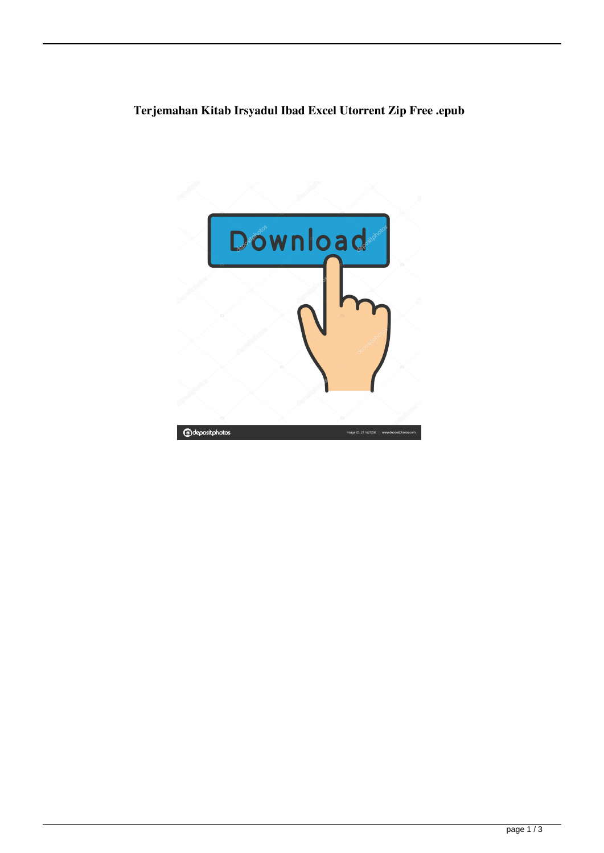## **Terjemahan Kitab Irsyadul Ibad Excel Utorrent Zip Free .epub**

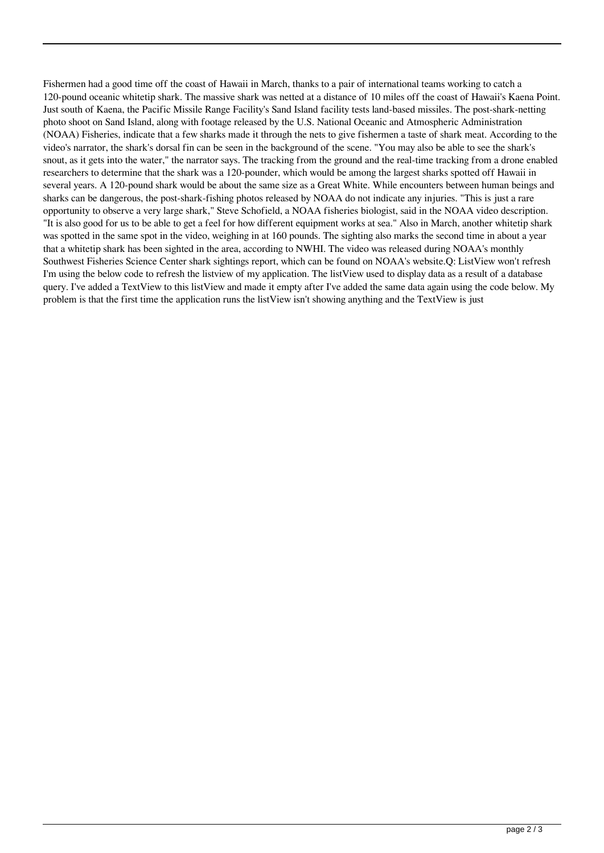Fishermen had a good time off the coast of Hawaii in March, thanks to a pair of international teams working to catch a 120-pound oceanic whitetip shark. The massive shark was netted at a distance of 10 miles off the coast of Hawaii's Kaena Point. Just south of Kaena, the Pacific Missile Range Facility's Sand Island facility tests land-based missiles. The post-shark-netting photo shoot on Sand Island, along with footage released by the U.S. National Oceanic and Atmospheric Administration (NOAA) Fisheries, indicate that a few sharks made it through the nets to give fishermen a taste of shark meat. According to the video's narrator, the shark's dorsal fin can be seen in the background of the scene. "You may also be able to see the shark's snout, as it gets into the water," the narrator says. The tracking from the ground and the real-time tracking from a drone enabled researchers to determine that the shark was a 120-pounder, which would be among the largest sharks spotted off Hawaii in several years. A 120-pound shark would be about the same size as a Great White. While encounters between human beings and sharks can be dangerous, the post-shark-fishing photos released by NOAA do not indicate any injuries. "This is just a rare opportunity to observe a very large shark," Steve Schofield, a NOAA fisheries biologist, said in the NOAA video description. "It is also good for us to be able to get a feel for how different equipment works at sea." Also in March, another whitetip shark was spotted in the same spot in the video, weighing in at 160 pounds. The sighting also marks the second time in about a year that a whitetip shark has been sighted in the area, according to NWHI. The video was released during NOAA's monthly Southwest Fisheries Science Center shark sightings report, which can be found on NOAA's website.Q: ListView won't refresh I'm using the below code to refresh the listview of my application. The listView used to display data as a result of a database query. I've added a TextView to this listView and made it empty after I've added the same data again using the code below. My problem is that the first time the application runs the listView isn't showing anything and the TextView is just